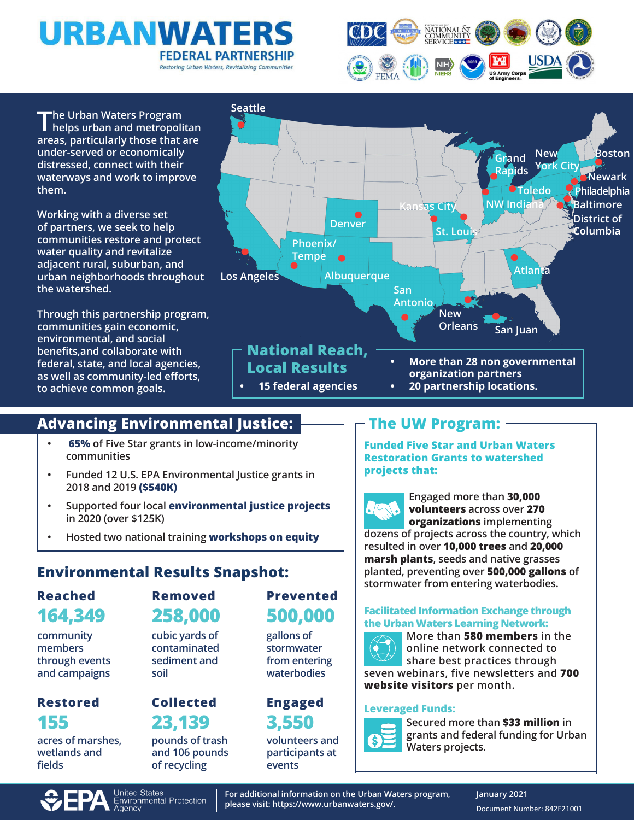



**The Urban Waters Program helps urban and metropolitan areas, particularly those that are under-served or economically distressed, connect with their waterways and work to improve them.** 

**Working with a diverse set of partners, we seek to help communities restore and protect water quality and revitalize adjacent rural, suburban, and urban neighborhoods throughout the watershed.** 

**Through this partnership program, communities gain economic, environmental, and social benefits,and collaborate with federal, state, and local agencies, as well as community-led efforts, to achieve common goals.**



# **Advancing Environmental Justice:**

- **• 65% of Five Star grants in low-income/minority communities**
- **• Funded 12 U.S. EPA Environmental Justice grants in 2018 and 2019 (\$540K)**
- **• Supported four local environmental justice projects in 2020 (over \$125K)**
- **• Hosted two national training workshops on equity**

# **Environmental Results Snapshot:**

### **164,349 Reached**

**community members through events and campaigns**

# **155 Restored**

**acres of marshes, wetlands and fields**

# **258,000 Removed**

**cubic yards of contaminated sediment and soil**

# **23,139 Collected**

**pounds of trash and 106 pounds of recycling** 

# **500,000 Prevented**

**gallons of stormwater from entering waterbodies**

# **3,550 Engaged**

**volunteers and participants at events** 

# **The UW Program:**

**Funded Five Star and Urban Waters Restoration Grants to watershed projects that:** 

**Engaged more than 30,000 volunteers across over 270 organizations implementing dozens of projects across the country, which resulted in over 10,000 trees and 20,000 marsh plants, seeds and native grasses planted, preventing over 500,000 gallons of stormwater from entering waterbodies.**

#### **Facilitated Information Exchange through the Urban Waters Learning Network:**



**More than 580 members in the online network connected to share best practices through seven webinars, five newsletters and 700 website visitors per month.**

### **Leveraged Funds:**



**Secured more than \$33 million in grants and federal funding for Urban Waters projects.**



**For additional information on the Urban Waters program, please visit: https://www.urbanwaters.gov/.**